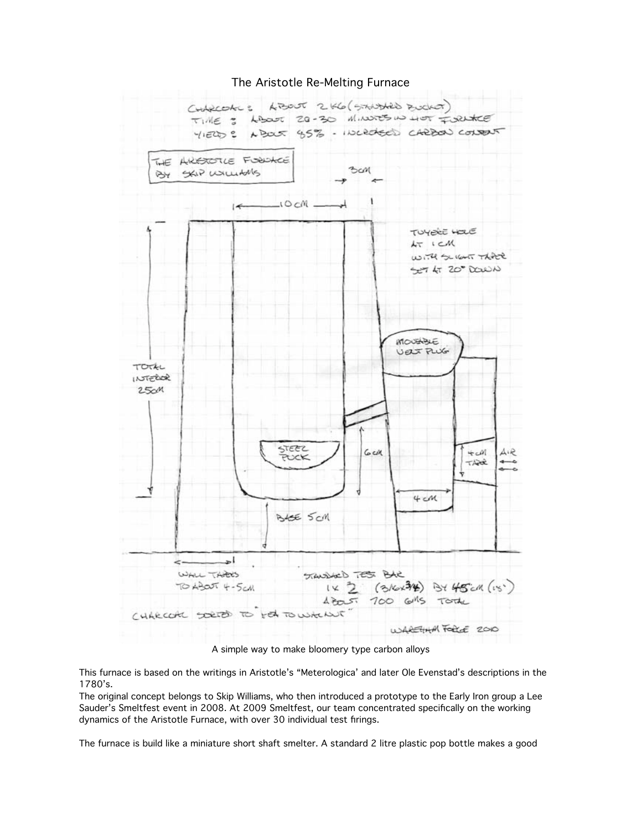

## The Aristotle Re-Melting Furnace

A simple way to make bloomery type carbon alloys

This furnace is based on the writings in Aristotle's "Meterologica' and later Ole Evenstad's descriptions in the 1780's.

The original concept belongs to Skip Williams, who then introduced a prototype to the Early Iron group a Lee Sauder's Smeltfest event in 2008. At 2009 Smeltfest, our team concentrated specifically on the working dynamics of the Aristotle Furnace, with over 30 individual test firings.

The furnace is build like a miniature short shaft smelter. A standard 2 litre plastic pop bottle makes a good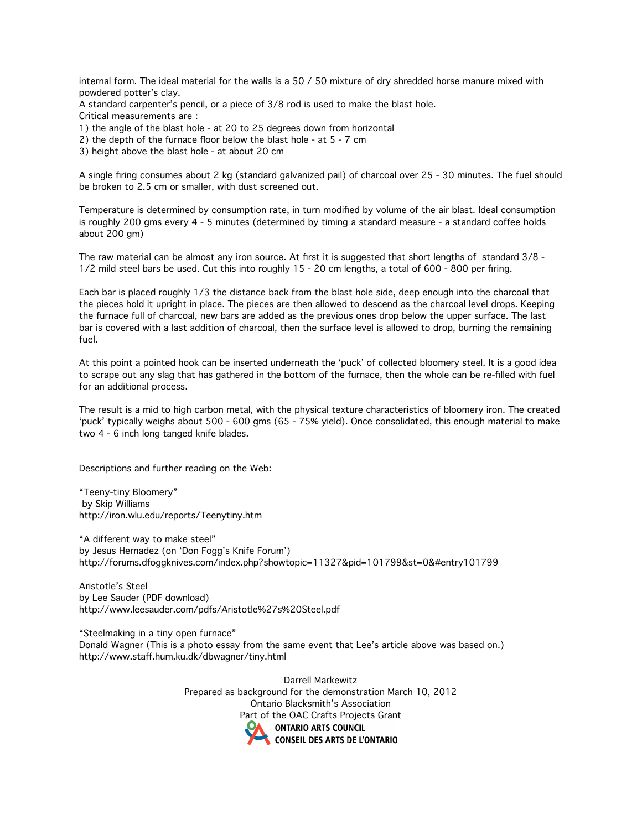internal form. The ideal material for the walls is a 50 / 50 mixture of dry shredded horse manure mixed with powdered potter's clay.

A standard carpenter's pencil, or a piece of 3/8 rod is used to make the blast hole. Critical measurements are :

1) the angle of the blast hole - at 20 to 25 degrees down from horizontal

2) the depth of the furnace floor below the blast hole - at 5 - 7 cm

3) height above the blast hole - at about 20 cm

A single firing consumes about 2 kg (standard galvanized pail) of charcoal over 25 - 30 minutes. The fuel should be broken to 2.5 cm or smaller, with dust screened out.

Temperature is determined by consumption rate, in turn modified by volume of the air blast. Ideal consumption is roughly 200 gms every 4 - 5 minutes (determined by timing a standard measure - a standard coffee holds about 200 gm)

The raw material can be almost any iron source. At first it is suggested that short lengths of standard 3/8 - 1/2 mild steel bars be used. Cut this into roughly 15 - 20 cm lengths, a total of 600 - 800 per firing.

Each bar is placed roughly 1/3 the distance back from the blast hole side, deep enough into the charcoal that the pieces hold it upright in place. The pieces are then allowed to descend as the charcoal level drops. Keeping the furnace full of charcoal, new bars are added as the previous ones drop below the upper surface. The last bar is covered with a last addition of charcoal, then the surface level is allowed to drop, burning the remaining fuel.

At this point a pointed hook can be inserted underneath the 'puck' of collected bloomery steel. It is a good idea to scrape out any slag that has gathered in the bottom of the furnace, then the whole can be re-filled with fuel for an additional process.

The result is a mid to high carbon metal, with the physical texture characteristics of bloomery iron. The created 'puck' typically weighs about 500 - 600 gms (65 - 75% yield). Once consolidated, this enough material to make two 4 - 6 inch long tanged knife blades.

Descriptions and further reading on the Web:

"Teeny-tiny Bloomery" by Skip Williams http://iron.wlu.edu/reports/Teenytiny.htm

"A different way to make steel" by Jesus Hernadez (on 'Don Fogg's Knife Forum') http://forums.dfoggknives.com/index.php?showtopic=11327&pid=101799&st=0&#entry101799

Aristotle's Steel by Lee Sauder (PDF download) http://www.leesauder.com/pdfs/Aristotle%27s%20Steel.pdf

"Steelmaking in a tiny open furnace" Donald Wagner (This is a photo essay from the same event that Lee's article above was based on.) http://www.staff.hum.ku.dk/dbwagner/tiny.html

> Darrell Markewitz Prepared as background for the demonstration March 10, 2012 Ontario Blacksmith's Association Part of the OAC Crafts Projects Grant**ONTARIO ARTS COUNCIL CONSEIL DES ARTS DE L'ONTARIO**